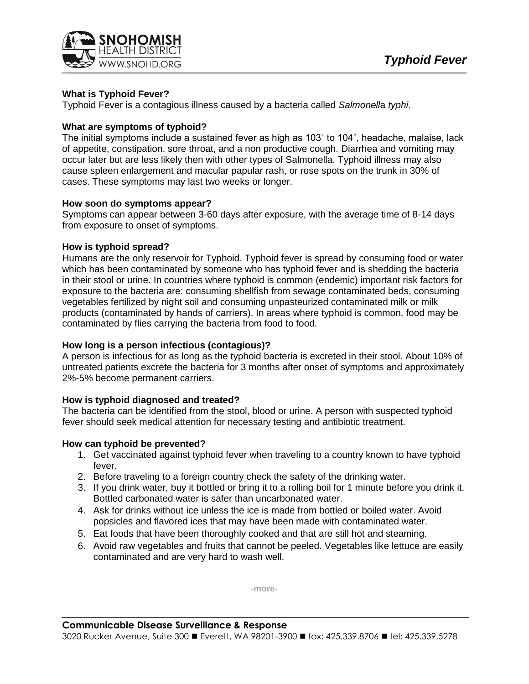

# **What is Typhoid Fever?**

Typhoid Fever is a contagious illness caused by a bacteria called *Salmonell*a *typhi*.

## **What are symptoms of typhoid?**

The initial symptoms include a sustained fever as high as 103˚ to 104˚, headache, malaise, lack of appetite, constipation, sore throat, and a non productive cough. Diarrhea and vomiting may occur later but are less likely then with other types of Salmonella. Typhoid illness may also cause spleen enlargement and macular papular rash, or rose spots on the trunk in 30% of cases. These symptoms may last two weeks or longer.

### **How soon do symptoms appear?**

Symptoms can appear between 3-60 days after exposure, with the average time of 8-14 days from exposure to onset of symptoms.

### **How is typhoid spread?**

Humans are the only reservoir for Typhoid. Typhoid fever is spread by consuming food or water which has been contaminated by someone who has typhoid fever and is shedding the bacteria in their stool or urine*.* In countries where typhoid is common (endemic) important risk factors for exposure to the bacteria are: consuming shellfish from sewage contaminated beds, consuming vegetables fertilized by night soil and consuming unpasteurized contaminated milk or milk products (contaminated by hands of carriers). In areas where typhoid is common, food may be contaminated by flies carrying the bacteria from food to food.

## **How long is a person infectious (contagious)?**

A person is infectious for as long as the typhoid bacteria is excreted in their stool. About 10% of untreated patients excrete the bacteria for 3 months after onset of symptoms and approximately 2%-5% become permanent carriers.

## **How is typhoid diagnosed and treated?**

The bacteria can be identified from the stool, blood or urine. A person with suspected typhoid fever should seek medical attention for necessary testing and antibiotic treatment.

## **How can typhoid be prevented?**

- 1. Get vaccinated against typhoid fever when traveling to a country known to have typhoid fever.
- 2. Before traveling to a foreign country check the safety of the drinking water.
- 3. If you drink water, buy it bottled or bring it to a rolling boil for 1 minute before you drink it. Bottled carbonated water is safer than uncarbonated water.
- 4. Ask for drinks without ice unless the ice is made from bottled or boiled water. Avoid popsicles and flavored ices that may have been made with contaminated water.
- 5. Eat foods that have been thoroughly cooked and that are still hot and steaming.
- 6. Avoid raw vegetables and fruits that cannot be peeled. Vegetables like lettuce are easily contaminated and are very hard to wash well.

**-more-**